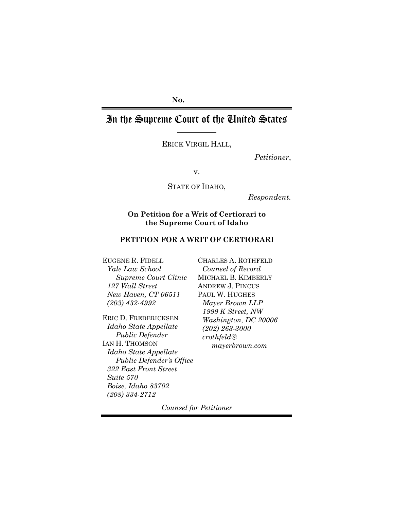## **No.**

# In the Supreme Court of the United States

ERICK VIRGIL HALL,

*Petitioner*,

v.

STATE OF IDAHO,

*Respondent.*

**On Petition for a Writ of Certiorari to the Supreme Court of Idaho** 

## **PETITION FOR A WRIT OF CERTIORARI**

EUGENE R. FIDELL *Yale Law School Supreme Court Clinic 127 Wall Street New Haven, CT 06511 (203) 432-4992* 

ERIC D. FREDERICKSEN *Idaho State Appellate Public Defender* IAN H. THOMSON *Idaho State Appellate Public Defender's Office 322 East Front Street Suite 570 Boise, Idaho 83702 (208) 334-2712*

CHARLES A. ROTHFELD *Counsel of Record*  MICHAEL B. KIMBERLY ANDREW J. PINCUS PAUL W. HUGHES *Mayer Brown LLP 1999 K Street, NW Washington, DC 20006 (202) 263-3000 crothfeld@ mayerbrown.com* 

*Counsel for Petitioner*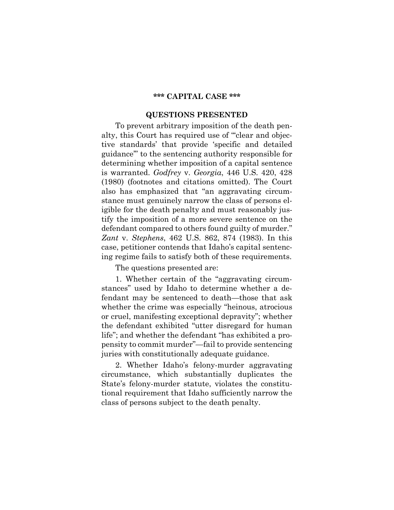#### **\*\*\* CAPITAL CASE \*\*\***

#### **QUESTIONS PRESENTED**

To prevent arbitrary imposition of the death penalty, this Court has required use of "'clear and objective standards' that provide 'specific and detailed guidance'" to the sentencing authority responsible for determining whether imposition of a capital sentence is warranted. *Godfrey* v. *Georgia*, 446 U.S. 420, 428 (1980) (footnotes and citations omitted). The Court also has emphasized that "an aggravating circumstance must genuinely narrow the class of persons eligible for the death penalty and must reasonably justify the imposition of a more severe sentence on the defendant compared to others found guilty of murder." *Zant* v. *Stephens*, 462 U.S. 862, 874 (1983). In this case, petitioner contends that Idaho's capital sentencing regime fails to satisfy both of these requirements.

The questions presented are:

1. Whether certain of the "aggravating circumstances" used by Idaho to determine whether a defendant may be sentenced to death—those that ask whether the crime was especially "heinous, atrocious or cruel, manifesting exceptional depravity"; whether the defendant exhibited "utter disregard for human life"; and whether the defendant "has exhibited a propensity to commit murder"—fail to provide sentencing juries with constitutionally adequate guidance.

2. Whether Idaho's felony-murder aggravating circumstance, which substantially duplicates the State's felony-murder statute, violates the constitutional requirement that Idaho sufficiently narrow the class of persons subject to the death penalty.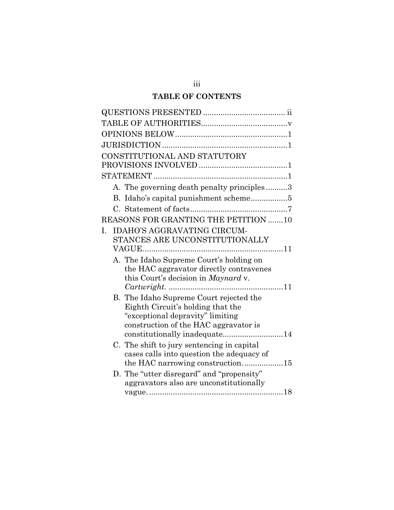## **TABLE OF CONTENTS**

| CONSTITUTIONAL AND STATUTORY                                          |
|-----------------------------------------------------------------------|
|                                                                       |
|                                                                       |
| A. The governing death penalty principles3                            |
|                                                                       |
|                                                                       |
| <b>REASONS FOR GRANTING THE PETITION 10</b>                           |
| <b>IDAHO'S AGGRAVATING CIRCUM-</b><br>I.                              |
| STANCES ARE UNCONSTITUTIONALLY                                        |
|                                                                       |
| A. The Idaho Supreme Court's holding on                               |
| the HAC aggravator directly contravenes                               |
| this Court's decision in Maynard v.                                   |
|                                                                       |
| B. The Idaho Supreme Court rejected the                               |
| Eighth Circuit's holding that the<br>"exceptional depravity" limiting |
| construction of the HAC aggravator is                                 |
|                                                                       |
| C. The shift to jury sentencing in capital                            |
| cases calls into question the adequacy of                             |
| the HAC narrowing construction15                                      |
| D. The "utter disregard" and "propensity"                             |
| aggravators also are unconstitutionally                               |
|                                                                       |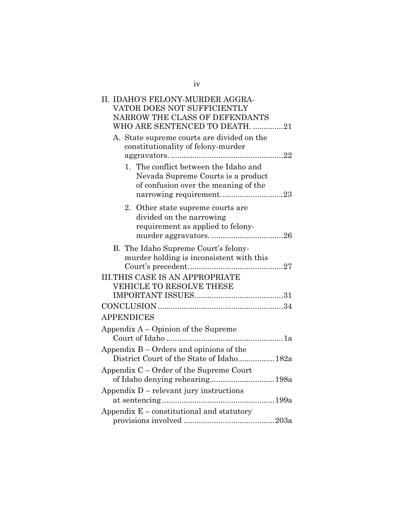| II. IDAHO'S FELONY-MURDER AGGRA-            |
|---------------------------------------------|
| VATOR DOES NOT SUFFICIENTLY                 |
| NARROW THE CLASS OF DEFENDANTS              |
| WHO ARE SENTENCED TO DEATH. 21              |
| A. State supreme courts are divided on the  |
| constitutionality of felony-murder          |
|                                             |
| 1. The conflict between the Idaho and       |
| Nevada Supreme Courts is a product          |
| of confusion over the meaning of the        |
| narrowing requirement23                     |
| 2. Other state supreme courts are           |
| divided on the narrowing                    |
| requirement as applied to felony-           |
|                                             |
| B. The Idaho Supreme Court's felony-        |
| murder holding is inconsistent with this    |
|                                             |
| <b>III.THIS CASE IS AN APPROPRIATE</b>      |
| VEHICLE TO RESOLVE THESE                    |
|                                             |
|                                             |
| <b>APPENDICES</b>                           |
| Appendix $A -$ Opinion of the Supreme       |
|                                             |
| Appendix $B -$ Orders and opinions of the   |
| District Court of the State of Idaho 182a   |
| Appendix C – Order of the Supreme Court     |
|                                             |
| Appendix D – relevant jury instructions     |
|                                             |
| Appendix $E$ – constitutional and statutory |
|                                             |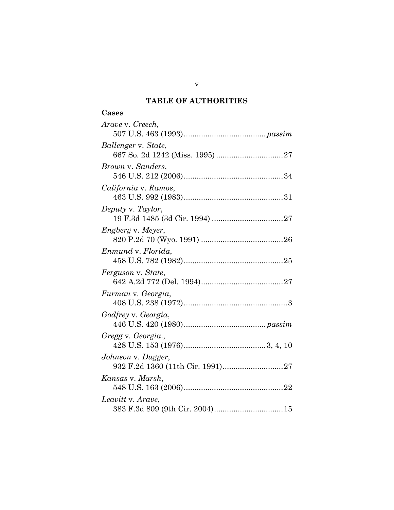## **TABLE OF AUTHORITIES**

| Arave v. Creech,         |
|--------------------------|
|                          |
| Ballenger v. State,      |
|                          |
| Brown v. Sanders,        |
|                          |
| California v. Ramos,     |
|                          |
| Deputy v. Taylor,        |
|                          |
| <i>Engberg v. Meyer,</i> |
|                          |
| Enmund v. Florida,       |
|                          |
| Ferguson v. State,       |
|                          |
| Furman v. Georgia,       |
|                          |
| Godfrey v. Georgia,      |
|                          |
| Gregg v. Georgia.,       |
|                          |
| Johnson v. Dugger,       |
|                          |
| Kansas v. Marsh,         |
|                          |
| Leavitt v. Arave,        |
|                          |

v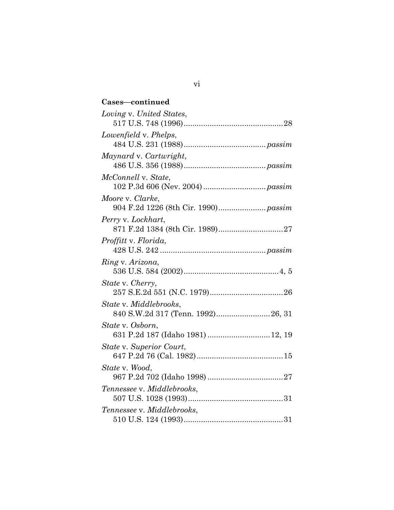| Cases-continued                                             |
|-------------------------------------------------------------|
| Loving v. United States,                                    |
| Lowenfield v. Phelps,                                       |
| Maynard v. Cartwright,                                      |
| McConnell v. State,                                         |
| Moore v. Clarke,                                            |
| Perry v. Lockhart,                                          |
| Proffitt v. Florida,                                        |
| Ring v. Arizona,                                            |
| State v. Cherry,                                            |
| State v. Middlebrooks,<br>840 S.W.2d 317 (Tenn. 1992)26, 31 |
| State v. Osborn,<br>631 P.2d 187 (Idaho 1981)  12, 19       |
| State v. Superior Court,                                    |
| State v. Wood,                                              |
| Tennessee v. Middlebrooks,                                  |
| Tennessee v. Middlebrooks,                                  |

vi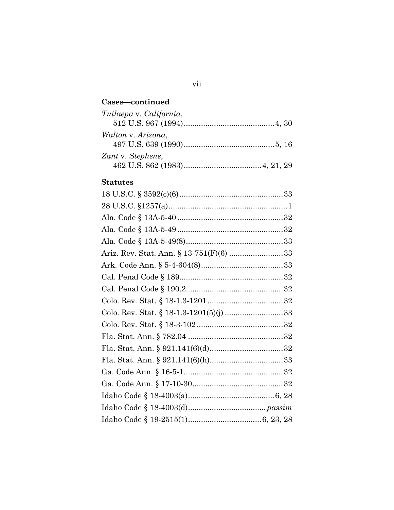## **Cases—continued**

| Tuilaepa v. California, |
|-------------------------|
|                         |
| Walton v. Arizona,      |
|                         |
| Zant v. Stephens,       |
|                         |

## **Statutes**

vii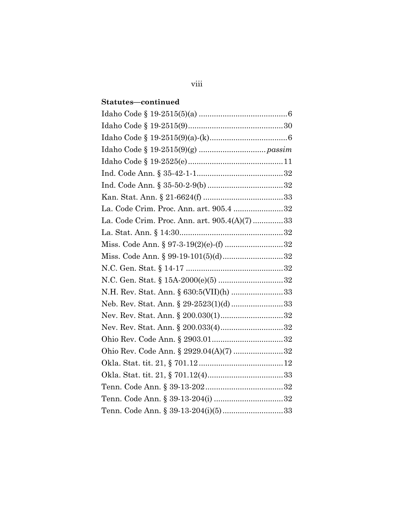## **Statutes—continued**

| La. Code Crim. Proc. Ann. art. 905.4 32      |  |
|----------------------------------------------|--|
| La. Code Crim. Proc. Ann. art. 905.4(A)(7)33 |  |
|                                              |  |
| Miss. Code Ann. § 97-3-19(2)(e)-(f) 32       |  |
| Miss. Code Ann. § 99-19-101(5)(d)32          |  |
|                                              |  |
|                                              |  |
|                                              |  |
| N.H. Rev. Stat. Ann. § 630:5(VII)(h) 33      |  |
| Neb. Rev. Stat. Ann. § 29-2523(1)(d)33       |  |
|                                              |  |
| Nev. Rev. Stat. Ann. § 200.033(4)32          |  |
|                                              |  |
| Ohio Rev. Code Ann. § 2929.04(A)(7) 32       |  |
|                                              |  |
|                                              |  |
|                                              |  |
|                                              |  |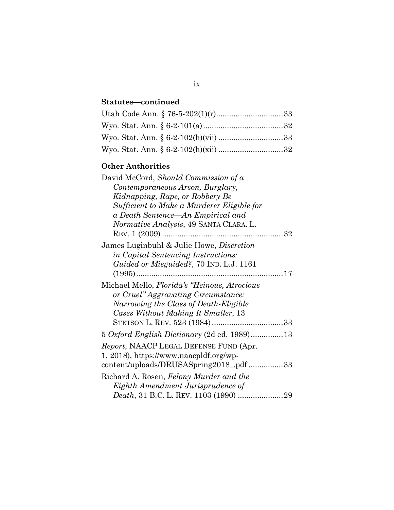## **Statutes—continued**

## **Other Authorities**

| David McCord, Should Commission of a            |
|-------------------------------------------------|
| Contemporaneous Arson, Burglary,                |
| Kidnapping, Rape, or Robbery Be                 |
| Sufficient to Make a Murderer Eligible for      |
| a Death Sentence—An Empirical and               |
| <i>Normative Analysis, 49 SANTA CLARA. L.</i>   |
|                                                 |
| James Luginbuhl & Julie Howe, <i>Discretion</i> |
| in Capital Sentencing Instructions:             |
| Guided or Misguided?, 70 IND. L.J. 1161         |
|                                                 |
| Michael Mello, Florida's "Heinous, Atrocious    |
| or Cruel" Aggravating Circumstance:             |
| Narrowing the Class of Death-Eligible           |
| Cases Without Making It Smaller, 13             |
|                                                 |
| 5 Oxford English Dictionary (2d ed. 1989)13     |
| <i>Report</i> , NAACP LEGAL DEFENSE FUND (Apr.  |
| 1, 2018), https://www.naacpldf.org/wp-          |
| content/uploads/DRUSASpring2018_pdf 33          |
| Richard A. Rosen, Felony Murder and the         |
| Eighth Amendment Jurisprudence of               |
|                                                 |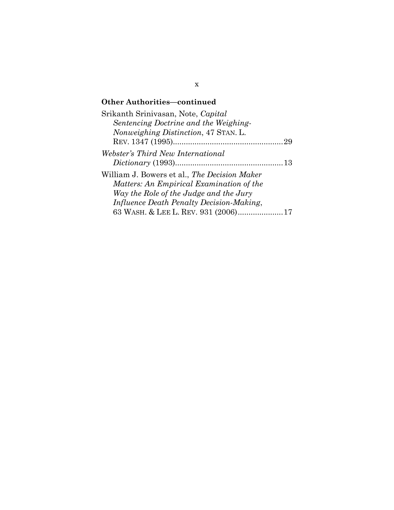## **Other Authorities—continued**

| Srikanth Srinivasan, Note, Capital                  |  |
|-----------------------------------------------------|--|
| Sentencing Doctrine and the Weighing-               |  |
| Nonweighing Distinction, 47 STAN. L.                |  |
|                                                     |  |
| Webster's Third New International                   |  |
|                                                     |  |
| William J. Bowers et al., <i>The Decision Maker</i> |  |
| Matters: An Empirical Examination of the            |  |
| Way the Role of the Judge and the Jury              |  |
| <i>Influence Death Penalty Decision-Making,</i>     |  |
| 63 WASH. & LEE L. REV. 931 (2006)17                 |  |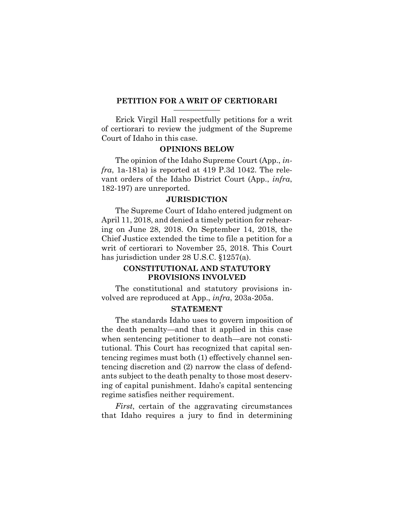#### **PETITION FOR A WRIT OF CERTIORARI**

Erick Virgil Hall respectfully petitions for a writ of certiorari to review the judgment of the Supreme Court of Idaho in this case.

### **OPINIONS BELOW**

The opinion of the Idaho Supreme Court (App., *infra*, 1a-181a) is reported at 419 P.3d 1042. The relevant orders of the Idaho District Court (App., *infra*, 182-197) are unreported.

#### **JURISDICTION**

The Supreme Court of Idaho entered judgment on April 11, 2018, and denied a timely petition for rehearing on June 28, 2018. On September 14, 2018, the Chief Justice extended the time to file a petition for a writ of certiorari to November 25, 2018. This Court has jurisdiction under 28 U.S.C. §1257(a).

## **CONSTITUTIONAL AND STATUTORY PROVISIONS INVOLVED**

The constitutional and statutory provisions involved are reproduced at App., *infra*, 203a-205a.

### **STATEMENT**

The standards Idaho uses to govern imposition of the death penalty—and that it applied in this case when sentencing petitioner to death—are not constitutional. This Court has recognized that capital sentencing regimes must both (1) effectively channel sentencing discretion and (2) narrow the class of defendants subject to the death penalty to those most deserving of capital punishment. Idaho's capital sentencing regime satisfies neither requirement.

*First*, certain of the aggravating circumstances that Idaho requires a jury to find in determining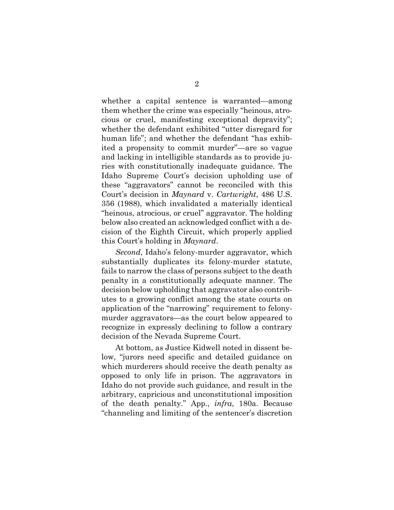whether a capital sentence is warranted—among them whether the crime was especially "heinous, atrocious or cruel, manifesting exceptional depravity"; whether the defendant exhibited "utter disregard for human life"; and whether the defendant "has exhibited a propensity to commit murder"—are so vague and lacking in intelligible standards as to provide juries with constitutionally inadequate guidance. The Idaho Supreme Court's decision upholding use of these "aggravators" cannot be reconciled with this Court's decision in *Maynard* v. *Cartwright*, 486 U.S. 356 (1988), which invalidated a materially identical "heinous, atrocious, or cruel" aggravator. The holding below also created an acknowledged conflict with a decision of the Eighth Circuit, which properly applied this Court's holding in *Maynard*.

*Second*, Idaho's felony-murder aggravator, which substantially duplicates its felony-murder statute, fails to narrow the class of persons subject to the death penalty in a constitutionally adequate manner. The decision below upholding that aggravator also contributes to a growing conflict among the state courts on application of the "narrowing" requirement to felonymurder aggravators—as the court below appeared to recognize in expressly declining to follow a contrary decision of the Nevada Supreme Court.

At bottom, as Justice Kidwell noted in dissent below, "jurors need specific and detailed guidance on which murderers should receive the death penalty as opposed to only life in prison. The aggravators in Idaho do not provide such guidance, and result in the arbitrary, capricious and unconstitutional imposition of the death penalty." App., *infra*, 180a. Because "channeling and limiting of the sentencer's discretion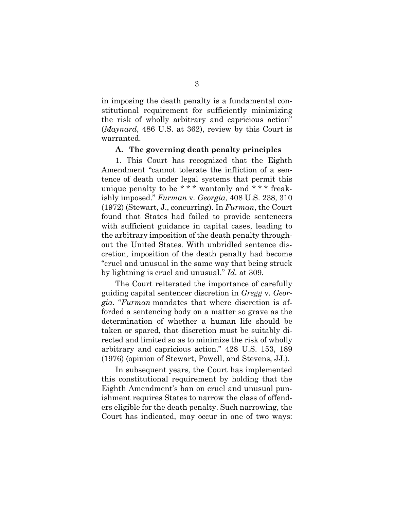in imposing the death penalty is a fundamental constitutional requirement for sufficiently minimizing the risk of wholly arbitrary and capricious action" (*Maynard*, 486 U.S. at 362), review by this Court is warranted.

#### **A. The governing death penalty principles**

1. This Court has recognized that the Eighth Amendment "cannot tolerate the infliction of a sentence of death under legal systems that permit this unique penalty to be \* \* \* wantonly and \* \* \* freakishly imposed." *Furman* v*. Georgia*, 408 U.S. 238, 310 (1972) (Stewart, J., concurring). In *Furman*, the Court found that States had failed to provide sentencers with sufficient guidance in capital cases, leading to the arbitrary imposition of the death penalty throughout the United States. With unbridled sentence discretion, imposition of the death penalty had become "cruel and unusual in the same way that being struck by lightning is cruel and unusual." *Id.* at 309.

The Court reiterated the importance of carefully guiding capital sentencer discretion in *Gregg* v*. Georgia*. "*Furman* mandates that where discretion is afforded a sentencing body on a matter so grave as the determination of whether a human life should be taken or spared, that discretion must be suitably directed and limited so as to minimize the risk of wholly arbitrary and capricious action." 428 U.S. 153, 189 (1976) (opinion of Stewart, Powell, and Stevens, JJ.).

In subsequent years, the Court has implemented this constitutional requirement by holding that the Eighth Amendment's ban on cruel and unusual punishment requires States to narrow the class of offenders eligible for the death penalty. Such narrowing, the Court has indicated, may occur in one of two ways: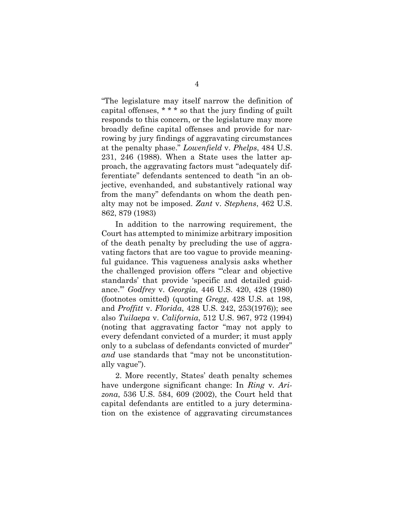"The legislature may itself narrow the definition of capital offenses, \* \* \* so that the jury finding of guilt responds to this concern, or the legislature may more broadly define capital offenses and provide for narrowing by jury findings of aggravating circumstances at the penalty phase." *Lowenfield* v. *Phelps*, 484 U.S. 231, 246 (1988). When a State uses the latter approach, the aggravating factors must "adequately differentiate" defendants sentenced to death "in an objective, evenhanded, and substantively rational way from the many" defendants on whom the death penalty may not be imposed. *Zant* v. *Stephens*, 462 U.S. 862, 879 (1983)

In addition to the narrowing requirement, the Court has attempted to minimize arbitrary imposition of the death penalty by precluding the use of aggravating factors that are too vague to provide meaningful guidance. This vagueness analysis asks whether the challenged provision offers "'clear and objective standards' that provide 'specific and detailed guidance.'" *Godfrey* v. *Georgia*, 446 U.S. 420, 428 (1980) (footnotes omitted) (quoting *Gregg*, 428 U.S. at 198, and *Proffitt* v. *Florida*, 428 U.S. 242, 253(1976)); see also *Tuilaepa* v. *California*, 512 U.S. 967, 972 (1994) (noting that aggravating factor "may not apply to every defendant convicted of a murder; it must apply only to a subclass of defendants convicted of murder" *and* use standards that "may not be unconstitutionally vague").

2. More recently, States' death penalty schemes have undergone significant change: In *Ring* v*. Arizona*, 536 U.S. 584, 609 (2002), the Court held that capital defendants are entitled to a jury determination on the existence of aggravating circumstances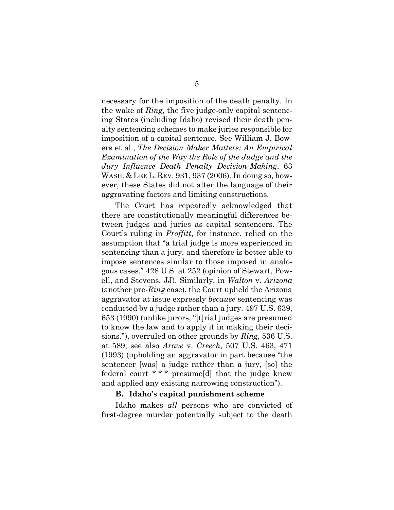necessary for the imposition of the death penalty. In the wake of *Ring*, the five judge-only capital sentencing States (including Idaho) revised their death penalty sentencing schemes to make juries responsible for imposition of a capital sentence. See William J. Bowers et al., *The Decision Maker Matters: An Empirical Examination of the Way the Role of the Judge and the Jury Influence Death Penalty Decision-Making*, 63 WASH. & LEE L. REV. 931, 937 (2006). In doing so, however, these States did not alter the language of their aggravating factors and limiting constructions.

The Court has repeatedly acknowledged that there are constitutionally meaningful differences between judges and juries as capital sentencers. The Court's ruling in *Proffitt*, for instance, relied on the assumption that "a trial judge is more experienced in sentencing than a jury, and therefore is better able to impose sentences similar to those imposed in analogous cases." 428 U.S. at 252 (opinion of Stewart, Powell, and Stevens, JJ). Similarly, in *Walton* v. *Arizona* (another pre-*Ring* case), the Court upheld the Arizona aggravator at issue expressly *because* sentencing was conducted by a judge rather than a jury. 497 U.S. 639, 653 (1990) (unlike jurors, "[t]rial judges are presumed to know the law and to apply it in making their decisions."), overruled on other grounds by *Ring*, 536 U.S. at 589; see also *Arave* v. *Creech*, 507 U.S. 463, 471 (1993) (upholding an aggravator in part because "the sentencer [was] a judge rather than a jury, [so] the federal court \* \* \* presume[d] that the judge knew and applied any existing narrowing construction").

#### **B. Idaho's capital punishment scheme**

Idaho makes *all* persons who are convicted of first-degree murder potentially subject to the death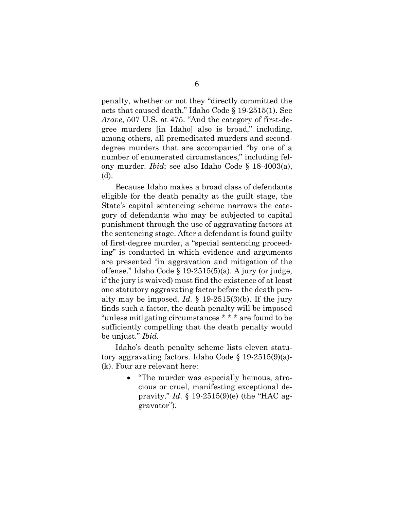penalty, whether or not they "directly committed the acts that caused death." Idaho Code § 19-2515(1). See *Arave*, 507 U.S. at 475. "And the category of first-degree murders [in Idaho] also is broad," including, among others, all premeditated murders and seconddegree murders that are accompanied "by one of a number of enumerated circumstances," including felony murder. *Ibid*; see also Idaho Code § 18-4003(a), (d).

Because Idaho makes a broad class of defendants eligible for the death penalty at the guilt stage, the State's capital sentencing scheme narrows the category of defendants who may be subjected to capital punishment through the use of aggravating factors at the sentencing stage. After a defendant is found guilty of first-degree murder, a "special sentencing proceeding" is conducted in which evidence and arguments are presented "in aggravation and mitigation of the offense." Idaho Code § 19-2515(5)(a). A jury (or judge, if the jury is waived) must find the existence of at least one statutory aggravating factor before the death penalty may be imposed. *Id.*  $\S$  19-2515(3)(b). If the jury finds such a factor, the death penalty will be imposed "unless mitigating circumstances \* \* \* are found to be sufficiently compelling that the death penalty would be unjust." *Ibid.* 

Idaho's death penalty scheme lists eleven statutory aggravating factors. Idaho Code § 19-2515(9)(a)- (k). Four are relevant here:

> "The murder was especially heinous, atrocious or cruel, manifesting exceptional depravity." *Id*. § 19-2515(9)(e) (the "HAC aggravator").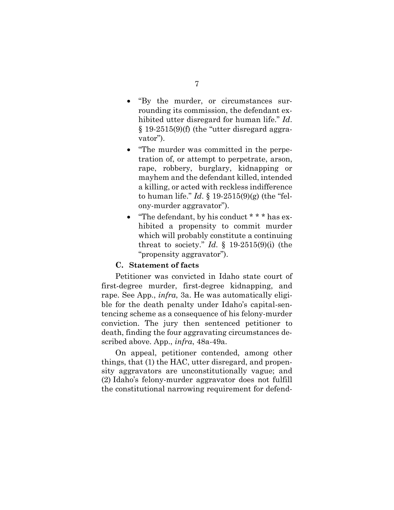- "By the murder, or circumstances surrounding its commission, the defendant exhibited utter disregard for human life." *Id*.  $§$  19-2515(9)(f) (the "utter disregard aggravator").
- "The murder was committed in the perpetration of, or attempt to perpetrate, arson, rape, robbery, burglary, kidnapping or mayhem and the defendant killed, intended a killing, or acted with reckless indifference to human life." *Id*. § 19-2515(9)(g) (the "felony-murder aggravator").
- "The defendant, by his conduct \* \* \* has exhibited a propensity to commit murder which will probably constitute a continuing threat to society." *Id*. § 19-2515(9)(i) (the "propensity aggravator").

### **C. Statement of facts**

Petitioner was convicted in Idaho state court of first-degree murder, first-degree kidnapping, and rape. See App., *infra*, 3a. He was automatically eligible for the death penalty under Idaho's capital-sentencing scheme as a consequence of his felony-murder conviction. The jury then sentenced petitioner to death, finding the four aggravating circumstances described above. App., *infra*, 48a-49a.

On appeal, petitioner contended, among other things, that (1) the HAC, utter disregard, and propensity aggravators are unconstitutionally vague; and (2) Idaho's felony-murder aggravator does not fulfill the constitutional narrowing requirement for defend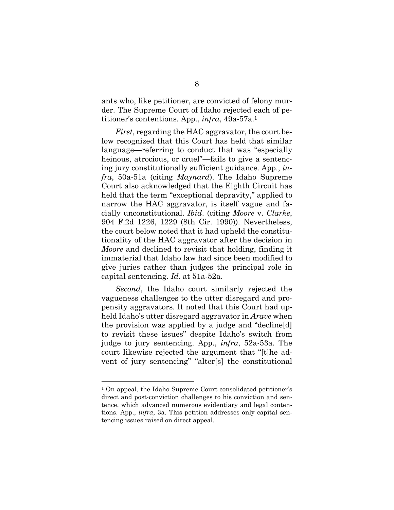ants who, like petitioner, are convicted of felony murder. The Supreme Court of Idaho rejected each of petitioner's contentions. App., *infra*, 49a-57a.<sup>1</sup>

*First*, regarding the HAC aggravator, the court below recognized that this Court has held that similar language—referring to conduct that was "especially heinous, atrocious, or cruel"—fails to give a sentencing jury constitutionally sufficient guidance. App., *infra*, 50a-51a (citing *Maynard*). The Idaho Supreme Court also acknowledged that the Eighth Circuit has held that the term "exceptional depravity," applied to narrow the HAC aggravator, is itself vague and facially unconstitutional. *Ibid*. (citing *Moore* v. *Clarke*, 904 F.2d 1226, 1229 (8th Cir. 1990)). Nevertheless, the court below noted that it had upheld the constitutionality of the HAC aggravator after the decision in *Moore* and declined to revisit that holding, finding it immaterial that Idaho law had since been modified to give juries rather than judges the principal role in capital sentencing. *Id*. at 51a-52a.

*Second*, the Idaho court similarly rejected the vagueness challenges to the utter disregard and propensity aggravators. It noted that this Court had upheld Idaho's utter disregard aggravator in *Arave* when the provision was applied by a judge and "decline[d] to revisit these issues" despite Idaho's switch from judge to jury sentencing. App., *infra*, 52a-53a. The court likewise rejected the argument that "[t]he advent of jury sentencing" "alter[s] the constitutional

<sup>1</sup> On appeal, the Idaho Supreme Court consolidated petitioner's direct and post-conviction challenges to his conviction and sentence, which advanced numerous evidentiary and legal contentions. App., *infra*, 3a. This petition addresses only capital sentencing issues raised on direct appeal.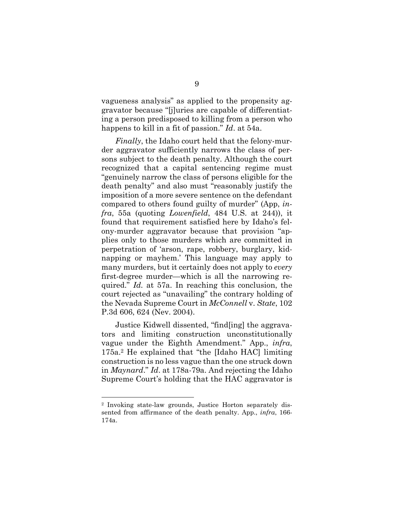vagueness analysis" as applied to the propensity aggravator because "[j]uries are capable of differentiating a person predisposed to killing from a person who happens to kill in a fit of passion." *Id*. at 54a.

*Finally*, the Idaho court held that the felony-murder aggravator sufficiently narrows the class of persons subject to the death penalty. Although the court recognized that a capital sentencing regime must "genuinely narrow the class of persons eligible for the death penalty" and also must "reasonably justify the imposition of a more severe sentence on the defendant compared to others found guilty of murder" (App, *infra*, 55a (quoting *Lowenfield*, 484 U.S. at 244)), it found that requirement satisfied here by Idaho's felony-murder aggravator because that provision "applies only to those murders which are committed in perpetration of 'arson, rape, robbery, burglary, kidnapping or mayhem.' This language may apply to many murders, but it certainly does not apply to *every* first-degree murder—which is all the narrowing required." *Id.* at 57a. In reaching this conclusion, the court rejected as "unavailing" the contrary holding of the Nevada Supreme Court in *McConnell* v. *State*, 102 P.3d 606, 624 (Nev. 2004).

Justice Kidwell dissented, "find[ing] the aggravators and limiting construction unconstitutionally vague under the Eighth Amendment." App., *infra*, 175a.2 He explained that "the [Idaho HAC] limiting construction is no less vague than the one struck down in *Maynard*." *Id*. at 178a-79a. And rejecting the Idaho Supreme Court's holding that the HAC aggravator is

<sup>2</sup> Invoking state-law grounds, Justice Horton separately dissented from affirmance of the death penalty. App., *infra*, 166- 174a.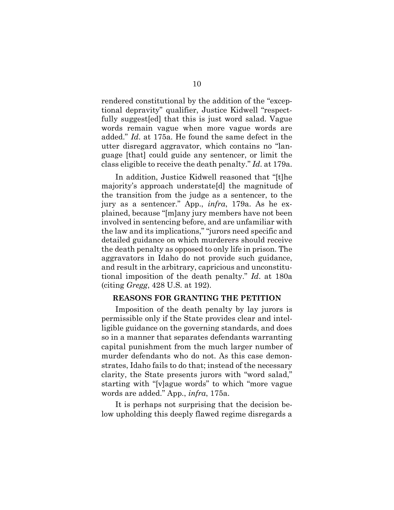rendered constitutional by the addition of the "exceptional depravity" qualifier, Justice Kidwell "respectfully suggest[ed] that this is just word salad. Vague words remain vague when more vague words are added." *Id*. at 175a. He found the same defect in the utter disregard aggravator, which contains no "language [that] could guide any sentencer, or limit the class eligible to receive the death penalty." *Id*. at 179a.

In addition, Justice Kidwell reasoned that "[t]he majority's approach understate[d] the magnitude of the transition from the judge as a sentencer, to the jury as a sentencer." App., *infra*, 179a. As he explained, because "[m]any jury members have not been involved in sentencing before, and are unfamiliar with the law and its implications," "jurors need specific and detailed guidance on which murderers should receive the death penalty as opposed to only life in prison. The aggravators in Idaho do not provide such guidance, and result in the arbitrary, capricious and unconstitutional imposition of the death penalty." *Id*. at 180a (citing *Gregg*, 428 U.S. at 192).

### **REASONS FOR GRANTING THE PETITION**

Imposition of the death penalty by lay jurors is permissible only if the State provides clear and intelligible guidance on the governing standards, and does so in a manner that separates defendants warranting capital punishment from the much larger number of murder defendants who do not. As this case demonstrates, Idaho fails to do that; instead of the necessary clarity, the State presents jurors with "word salad," starting with "[v]ague words" to which "more vague words are added." App., *infra*, 175a.

It is perhaps not surprising that the decision below upholding this deeply flawed regime disregards a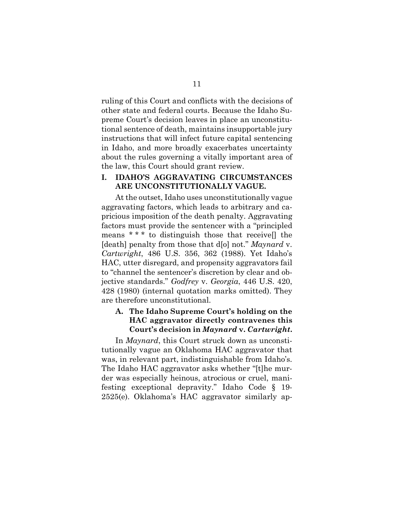ruling of this Court and conflicts with the decisions of other state and federal courts. Because the Idaho Supreme Court's decision leaves in place an unconstitutional sentence of death, maintains insupportable jury instructions that will infect future capital sentencing in Idaho, and more broadly exacerbates uncertainty about the rules governing a vitally important area of the law, this Court should grant review.

### **I. IDAHO'S AGGRAVATING CIRCUMSTANCES ARE UNCONSTITUTIONALLY VAGUE.**

At the outset, Idaho uses unconstitutionally vague aggravating factors, which leads to arbitrary and capricious imposition of the death penalty. Aggravating factors must provide the sentencer with a "principled means \* \* \* to distinguish those that receive[] the [death] penalty from those that d[o] not." *Maynard* v. *Cartwright*, 486 U.S. 356, 362 (1988). Yet Idaho's HAC, utter disregard, and propensity aggravators fail to "channel the sentencer's discretion by clear and objective standards." *Godfrey* v. *Georgia*, 446 U.S. 420, 428 (1980) (internal quotation marks omitted). They are therefore unconstitutional.

## **A. The Idaho Supreme Court's holding on the HAC aggravator directly contravenes this Court's decision in** *Maynard* **v.** *Cartwright***.**

In *Maynard*, this Court struck down as unconstitutionally vague an Oklahoma HAC aggravator that was, in relevant part, indistinguishable from Idaho's. The Idaho HAC aggravator asks whether "[t]he murder was especially heinous, atrocious or cruel, manifesting exceptional depravity." Idaho Code § 19- 2525(e). Oklahoma's HAC aggravator similarly ap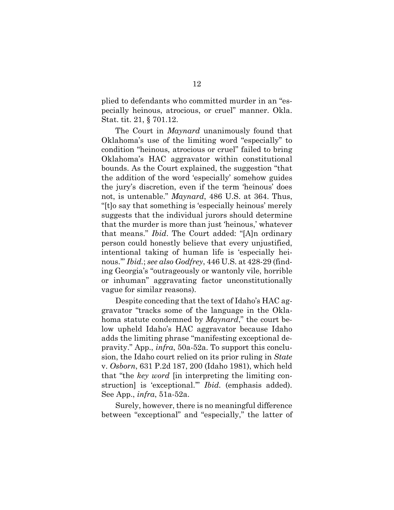plied to defendants who committed murder in an "especially heinous, atrocious, or cruel" manner. Okla. Stat. tit. 21, § 701.12.

The Court in *Maynard* unanimously found that Oklahoma's use of the limiting word "especially" to condition "heinous, atrocious or cruel" failed to bring Oklahoma's HAC aggravator within constitutional bounds. As the Court explained, the suggestion "that the addition of the word 'especially' somehow guides the jury's discretion, even if the term 'heinous' does not, is untenable." *Maynard*, 486 U.S. at 364. Thus, "[t]o say that something is 'especially heinous' merely suggests that the individual jurors should determine that the murder is more than just 'heinous,' whatever that means." *Ibid*. The Court added: "[A]n ordinary person could honestly believe that every unjustified, intentional taking of human life is 'especially heinous.'" *Ibid.*; *see also Godfrey*, 446 U.S. at 428-29 (finding Georgia's "outrageously or wantonly vile, horrible or inhuman" aggravating factor unconstitutionally vague for similar reasons).

Despite conceding that the text of Idaho's HAC aggravator "tracks some of the language in the Oklahoma statute condemned by *Maynard*," the court below upheld Idaho's HAC aggravator because Idaho adds the limiting phrase "manifesting exceptional depravity." App., *infra*, 50a-52a. To support this conclusion, the Idaho court relied on its prior ruling in *State*  v. *Osborn*, 631 P.2d 187, 200 (Idaho 1981), which held that "the *key word* [in interpreting the limiting construction] is 'exceptional.'" *Ibid.* (emphasis added). See App., *infra*, 51a-52a.

Surely, however, there is no meaningful difference between "exceptional" and "especially," the latter of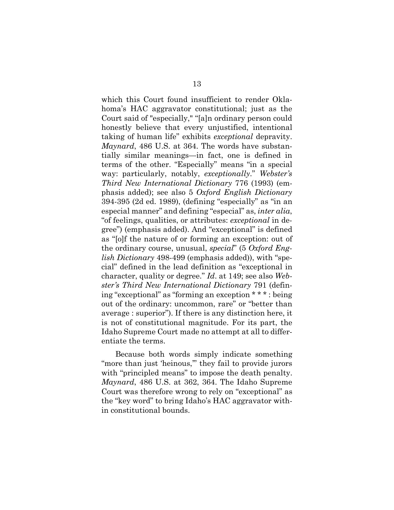which this Court found insufficient to render Oklahoma's HAC aggravator constitutional; just as the Court said of "especially," "[a]n ordinary person could honestly believe that every unjustified, intentional taking of human life" exhibits *exceptional* depravity. *Maynard*, 486 U.S. at 364. The words have substantially similar meanings—in fact, one is defined in terms of the other. "Especially" means "in a special way: particularly, notably, *exceptionally*." *Webster's Third New International Dictionary* 776 (1993) (emphasis added); see also 5 *Oxford English Dictionary* 394-395 (2d ed. 1989), (defining "especially" as "in an especial manner" and defining "especial" as, *inter alia*, "of feelings, qualities, or attributes: *exceptional* in degree") (emphasis added). And "exceptional" is defined as "[o]f the nature of or forming an exception: out of the ordinary course, unusual, *special*" (5 *Oxford English Dictionary* 498-499 (emphasis added)), with "special" defined in the lead definition as "exceptional in character, quality or degree." *Id*. at 149; see also *Webster's Third New International Dictionary* 791 (defining "exceptional" as "forming an exception \* \* \* : being out of the ordinary: uncommon, rare" or "better than average : superior"). If there is any distinction here, it is not of constitutional magnitude. For its part, the Idaho Supreme Court made no attempt at all to differentiate the terms.

Because both words simply indicate something "more than just 'heinous,'" they fail to provide jurors with "principled means" to impose the death penalty. *Maynard*, 486 U.S. at 362, 364. The Idaho Supreme Court was therefore wrong to rely on "exceptional" as the "key word" to bring Idaho's HAC aggravator within constitutional bounds.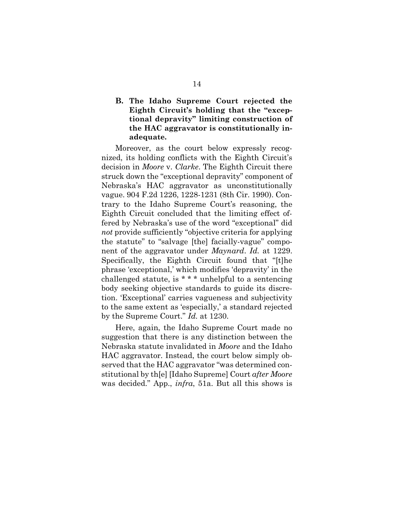## **B. The Idaho Supreme Court rejected the Eighth Circuit's holding that the "exceptional depravity" limiting construction of the HAC aggravator is constitutionally inadequate.**

Moreover, as the court below expressly recognized, its holding conflicts with the Eighth Circuit's decision in *Moore* v. *Clarke*. The Eighth Circuit there struck down the "exceptional depravity" component of Nebraska's HAC aggravator as unconstitutionally vague. 904 F.2d 1226, 1228-1231 (8th Cir. 1990). Contrary to the Idaho Supreme Court's reasoning, the Eighth Circuit concluded that the limiting effect offered by Nebraska's use of the word "exceptional" did *not* provide sufficiently "objective criteria for applying the statute" to "salvage [the] facially-vague" component of the aggravator under *Maynard*. *Id.* at 1229. Specifically, the Eighth Circuit found that "[t]he phrase 'exceptional,' which modifies 'depravity' in the challenged statute, is \* \* \* unhelpful to a sentencing body seeking objective standards to guide its discretion. 'Exceptional' carries vagueness and subjectivity to the same extent as 'especially,' a standard rejected by the Supreme Court." *Id.* at 1230.

Here, again, the Idaho Supreme Court made no suggestion that there is any distinction between the Nebraska statute invalidated in *Moore* and the Idaho HAC aggravator. Instead, the court below simply observed that the HAC aggravator "was determined constitutional by th[e] [Idaho Supreme] Court *after Moore* was decided." App., *infra*, 51a. But all this shows is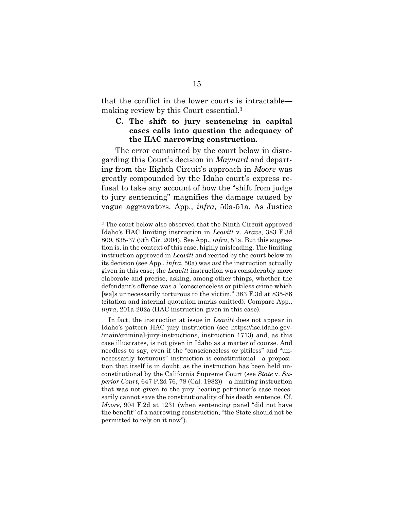that the conflict in the lower courts is intractable making review by this Court essential.<sup>3</sup>

## **C. The shift to jury sentencing in capital cases calls into question the adequacy of the HAC narrowing construction.**

The error committed by the court below in disregarding this Court's decision in *Maynard* and departing from the Eighth Circuit's approach in *Moore* was greatly compounded by the Idaho court's express refusal to take any account of how the "shift from judge to jury sentencing" magnifies the damage caused by vague aggravators. App., *infra*, 50a-51a. As Justice

<sup>&</sup>lt;sup>3</sup> The court below also observed that the Ninth Circuit approved Idaho's HAC limiting instruction in *Leavitt* v. *Arave*, 383 F.3d 809, 835-37 (9th Cir. 2004). See App., *infra*, 51a. But this suggestion is, in the context of this case, highly misleading. The limiting instruction approved in *Leavitt* and recited by the court below in its decision (see App., *infra*, 50a) was *not* the instruction actually given in this case; the *Leavitt* instruction was considerably more elaborate and precise, asking, among other things, whether the defendant's offense was a "conscienceless or pitiless crime which [wa]s unnecessarily torturous to the victim." 383 F.3d at 835-86 (citation and internal quotation marks omitted). Compare App., *infra*, 201a-202a (HAC instruction given in this case).

In fact, the instruction at issue in *Leavitt* does not appear in Idaho's pattern HAC jury instruction (see https://isc.idaho.gov- /main/criminal-jury-instructions, instruction 1713) and, as this case illustrates, is not given in Idaho as a matter of course. And needless to say, even if the "conscienceless or pitiless" and "unnecessarily torturous" instruction is constitutional—a proposition that itself is in doubt, as the instruction has been held unconstitutional by the California Supreme Court (see *State* v. *Superior Court*, 647 P.2d 76, 78 (Cal. 1982))—a limiting instruction that was not given to the jury hearing petitioner's case necessarily cannot save the constitutionality of his death sentence. Cf. *Moore*, 904 F.2d at 1231 (when sentencing panel "did not have the benefit" of a narrowing construction, "the State should not be permitted to rely on it now").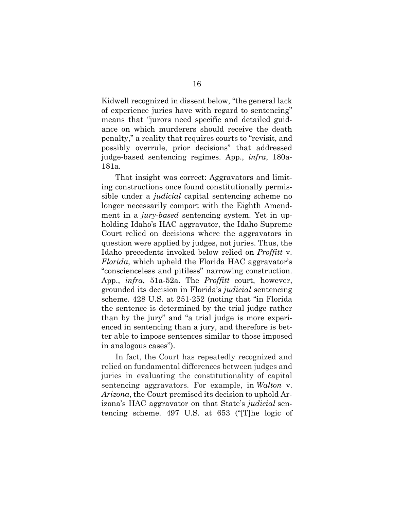Kidwell recognized in dissent below, "the general lack of experience juries have with regard to sentencing" means that "jurors need specific and detailed guidance on which murderers should receive the death penalty," a reality that requires courts to "revisit, and possibly overrule, prior decisions" that addressed judge-based sentencing regimes. App., *infra*, 180a-181a.

That insight was correct: Aggravators and limiting constructions once found constitutionally permissible under a *judicial* capital sentencing scheme no longer necessarily comport with the Eighth Amendment in a *jury-based* sentencing system. Yet in upholding Idaho's HAC aggravator, the Idaho Supreme Court relied on decisions where the aggravators in question were applied by judges, not juries. Thus, the Idaho precedents invoked below relied on *Proffitt* v. *Florida*, which upheld the Florida HAC aggravator's "conscienceless and pitiless" narrowing construction. App., *infra*, 51a-52a. The *Proffitt* court, however, grounded its decision in Florida's *judicial* sentencing scheme. 428 U.S. at 251-252 (noting that "in Florida the sentence is determined by the trial judge rather than by the jury" and "a trial judge is more experienced in sentencing than a jury, and therefore is better able to impose sentences similar to those imposed in analogous cases").

In fact, the Court has repeatedly recognized and relied on fundamental differences between judges and juries in evaluating the constitutionality of capital sentencing aggravators. For example, in *Walton* v. *Arizona*, the Court premised its decision to uphold Arizona's HAC aggravator on that State's *judicial* sentencing scheme. 497 U.S. at 653 ("[T]he logic of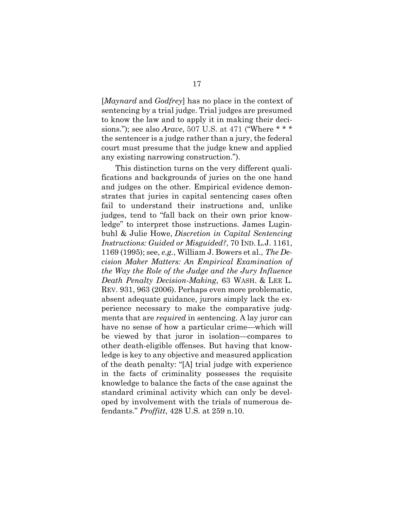[*Maynard* and *Godfrey*] has no place in the context of sentencing by a trial judge. Trial judges are presumed to know the law and to apply it in making their decisions."); see also *Arave*, 507 U.S. at 471 ("Where \* \* \* the sentencer is a judge rather than a jury, the federal court must presume that the judge knew and applied any existing narrowing construction.").

This distinction turns on the very different qualifications and backgrounds of juries on the one hand and judges on the other. Empirical evidence demonstrates that juries in capital sentencing cases often fail to understand their instructions and, unlike judges, tend to "fall back on their own prior knowledge" to interpret those instructions. James Luginbuhl & Julie Howe, *Discretion in Capital Sentencing Instructions: Guided or Misguided?*, 70 IND. L.J. 1161, 1169 (1995); see, *e.g.*, William J. Bowers et al., *The Decision Maker Matters: An Empirical Examination of the Way the Role of the Judge and the Jury Influence Death Penalty Decision-Making*, 63 WASH. & LEE L. REV. 931, 963 (2006). Perhaps even more problematic, absent adequate guidance, jurors simply lack the experience necessary to make the comparative judgments that are *required* in sentencing. A lay juror can have no sense of how a particular crime—which will be viewed by that juror in isolation—compares to other death-eligible offenses. But having that knowledge is key to any objective and measured application of the death penalty: "[A] trial judge with experience in the facts of criminality possesses the requisite knowledge to balance the facts of the case against the standard criminal activity which can only be developed by involvement with the trials of numerous defendants." *Proffitt*, 428 U.S. at 259 n.10.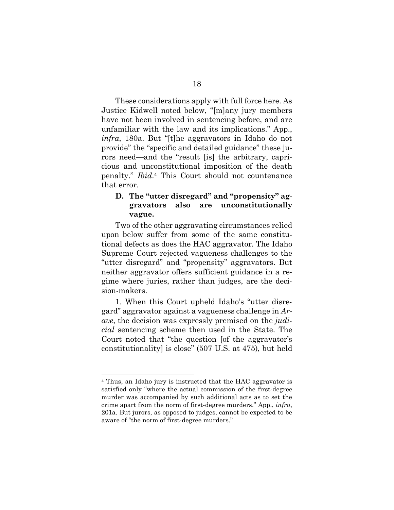These considerations apply with full force here. As Justice Kidwell noted below, "[m]any jury members have not been involved in sentencing before, and are unfamiliar with the law and its implications." App., *infra*, 180a. But "[t]he aggravators in Idaho do not provide" the "specific and detailed guidance" these jurors need—and the "result [is] the arbitrary, capricious and unconstitutional imposition of the death penalty." *Ibid*. <sup>4</sup> This Court should not countenance that error.

## **D. The "utter disregard" and "propensity" aggravators also are unconstitutionally vague.**

Two of the other aggravating circumstances relied upon below suffer from some of the same constitutional defects as does the HAC aggravator. The Idaho Supreme Court rejected vagueness challenges to the "utter disregard" and "propensity" aggravators. But neither aggravator offers sufficient guidance in a regime where juries, rather than judges, are the decision-makers.

1. When this Court upheld Idaho's "utter disregard" aggravator against a vagueness challenge in *Arave*, the decision was expressly premised on the *judicial* sentencing scheme then used in the State. The Court noted that "the question [of the aggravator's constitutionality] is close" (507 U.S. at 475), but held

<sup>4</sup> Thus, an Idaho jury is instructed that the HAC aggravator is satisfied only "where the actual commission of the first-degree murder was accompanied by such additional acts as to set the crime apart from the norm of first-degree murders." App., *infra*, 201a. But jurors, as opposed to judges, cannot be expected to be aware of "the norm of first-degree murders."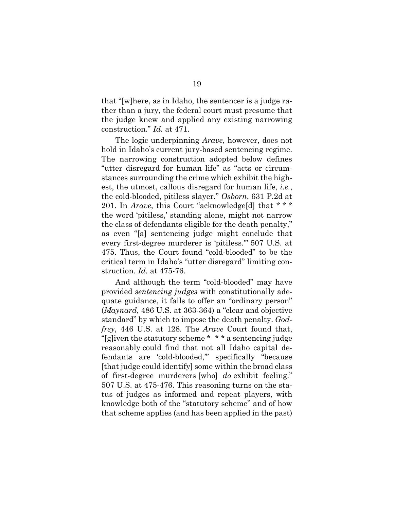that "[w]here, as in Idaho, the sentencer is a judge rather than a jury, the federal court must presume that the judge knew and applied any existing narrowing construction." *Id.* at 471.

The logic underpinning *Arave*, however, does not hold in Idaho's current jury-based sentencing regime. The narrowing construction adopted below defines "utter disregard for human life" as "acts or circumstances surrounding the crime which exhibit the highest, the utmost, callous disregard for human life, *i.e.*, the cold-blooded, pitiless slayer." *Osborn*, 631 P.2d at 201. In *Arave*, this Court "acknowledge[d] that \* \* \* the word 'pitiless,' standing alone, might not narrow the class of defendants eligible for the death penalty," as even "[a] sentencing judge might conclude that every first-degree murderer is 'pitiless.'" 507 U.S. at 475. Thus, the Court found "cold-blooded" to be the critical term in Idaho's "utter disregard" limiting construction. *Id.* at 475-76.

And although the term "cold-blooded" may have provided *sentencing judges* with constitutionally adequate guidance, it fails to offer an "ordinary person" (*Maynard*, 486 U.S. at 363-364) a "clear and objective standard" by which to impose the death penalty. *Godfrey*, 446 U.S. at 128. The *Arave* Court found that, "[g]iven the statutory scheme \* \* \* a sentencing judge reasonably could find that not all Idaho capital defendants are 'cold-blooded,'" specifically "because [that judge could identify] some within the broad class of first-degree murderers [who] *do* exhibit feeling." 507 U.S. at 475-476. This reasoning turns on the status of judges as informed and repeat players, with knowledge both of the "statutory scheme" and of how that scheme applies (and has been applied in the past)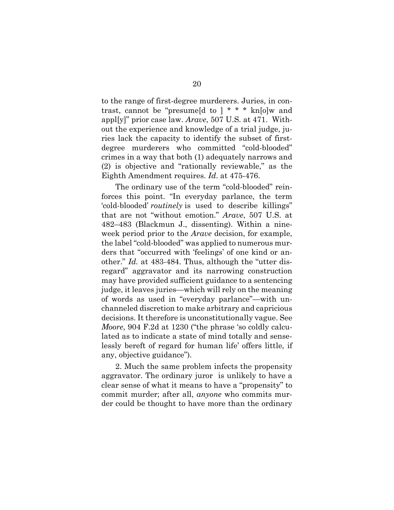to the range of first-degree murderers. Juries, in contrast, cannot be "presume d to  $\chi$ <sup>\*</sup> \* \* kn<sub>[o]</sub>w and appl[y]" prior case law. *Arave*, 507 U.S. at 471. Without the experience and knowledge of a trial judge, juries lack the capacity to identify the subset of firstdegree murderers who committed "cold-blooded" crimes in a way that both (1) adequately narrows and (2) is objective and "rationally reviewable," as the Eighth Amendment requires. *Id*. at 475-476.

The ordinary use of the term "cold-blooded" reinforces this point. "In everyday parlance, the term 'cold-blooded' *routinely* is used to describe killings" that are not "without emotion." *Arave*, 507 U.S. at 482–483 (Blackmun J., dissenting). Within a nineweek period prior to the *Arave* decision, for example, the label "cold-blooded" was applied to numerous murders that "occurred with 'feelings' of one kind or another." *Id.* at 483-484. Thus, although the "utter disregard" aggravator and its narrowing construction may have provided sufficient guidance to a sentencing judge, it leaves juries—which will rely on the meaning of words as used in "everyday parlance"—with unchanneled discretion to make arbitrary and capricious decisions. It therefore is unconstitutionally vague. See *Moore*, 904 F.2d at 1230 ("the phrase 'so coldly calculated as to indicate a state of mind totally and senselessly bereft of regard for human life' offers little, if any, objective guidance").

2. Much the same problem infects the propensity aggravator. The ordinary juror is unlikely to have a clear sense of what it means to have a "propensity" to commit murder; after all, *anyone* who commits murder could be thought to have more than the ordinary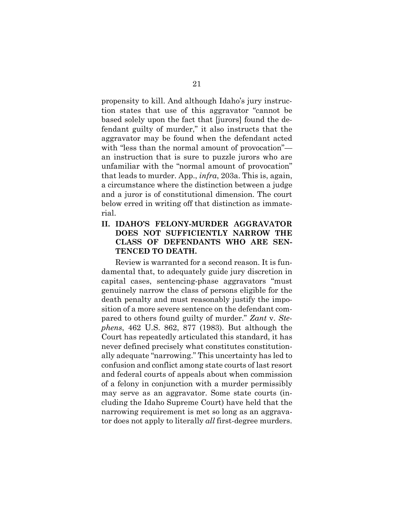propensity to kill. And although Idaho's jury instruction states that use of this aggravator "cannot be based solely upon the fact that [jurors] found the defendant guilty of murder," it also instructs that the aggravator may be found when the defendant acted with "less than the normal amount of provocation" an instruction that is sure to puzzle jurors who are unfamiliar with the "normal amount of provocation" that leads to murder. App., *infra*, 203a. This is, again, a circumstance where the distinction between a judge and a juror is of constitutional dimension. The court below erred in writing off that distinction as immaterial.

## **II. IDAHO'S FELONY-MURDER AGGRAVATOR DOES NOT SUFFICIENTLY NARROW THE CLASS OF DEFENDANTS WHO ARE SEN-TENCED TO DEATH.**

Review is warranted for a second reason. It is fundamental that, to adequately guide jury discretion in capital cases, sentencing-phase aggravators "must genuinely narrow the class of persons eligible for the death penalty and must reasonably justify the imposition of a more severe sentence on the defendant compared to others found guilty of murder." *Zant* v. *Stephens*, 462 U.S. 862, 877 (1983). But although the Court has repeatedly articulated this standard, it has never defined precisely what constitutes constitutionally adequate "narrowing." This uncertainty has led to confusion and conflict among state courts of last resort and federal courts of appeals about when commission of a felony in conjunction with a murder permissibly may serve as an aggravator. Some state courts (including the Idaho Supreme Court) have held that the narrowing requirement is met so long as an aggravator does not apply to literally *all* first-degree murders.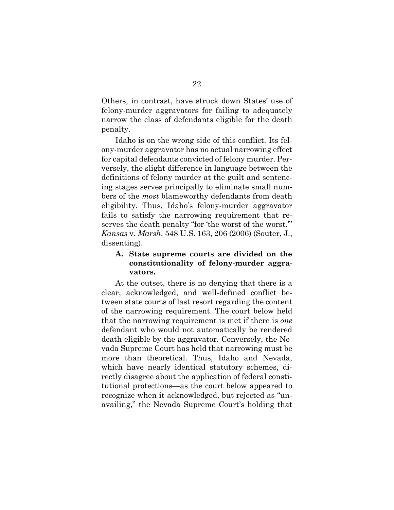Others, in contrast, have struck down States' use of felony-murder aggravators for failing to adequately narrow the class of defendants eligible for the death penalty.

Idaho is on the wrong side of this conflict. Its felony-murder aggravator has no actual narrowing effect for capital defendants convicted of felony murder. Perversely, the slight difference in language between the definitions of felony murder at the guilt and sentencing stages serves principally to eliminate small numbers of the *most* blameworthy defendants from death eligibility. Thus, Idaho's felony-murder aggravator fails to satisfy the narrowing requirement that reserves the death penalty "for 'the worst of the worst.'" *Kansas* v. *Marsh*, 548 U.S. 163, 206 (2006) (Souter, J., dissenting).

## **A. State supreme courts are divided on the constitutionality of felony-murder aggravators.**

At the outset, there is no denying that there is a clear, acknowledged, and well-defined conflict between state courts of last resort regarding the content of the narrowing requirement. The court below held that the narrowing requirement is met if there is *one* defendant who would not automatically be rendered death-eligible by the aggravator. Conversely, the Nevada Supreme Court has held that narrowing must be more than theoretical. Thus, Idaho and Nevada, which have nearly identical statutory schemes, directly disagree about the application of federal constitutional protections—as the court below appeared to recognize when it acknowledged, but rejected as "unavailing," the Nevada Supreme Court's holding that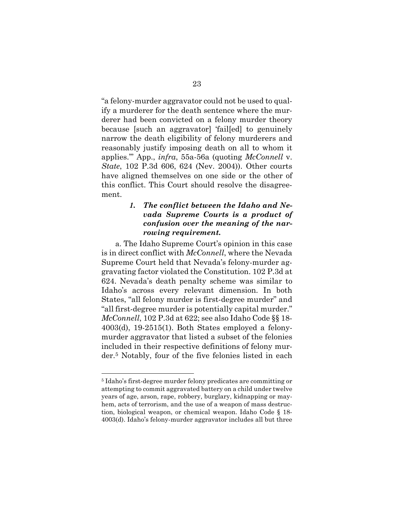"a felony-murder aggravator could not be used to qualify a murderer for the death sentence where the murderer had been convicted on a felony murder theory because [such an aggravator] 'fail[ed] to genuinely narrow the death eligibility of felony murderers and reasonably justify imposing death on all to whom it applies.'" App., *infra*, 55a-56a (quoting *McConnell* v. *State*, 102 P.3d 606, 624 (Nev. 2004)). Other courts have aligned themselves on one side or the other of this conflict. This Court should resolve the disagreement.

## *1. The conflict between the Idaho and Nevada Supreme Courts is a product of confusion over the meaning of the narrowing requirement.*

a. The Idaho Supreme Court's opinion in this case is in direct conflict with *McConnell*, where the Nevada Supreme Court held that Nevada's felony-murder aggravating factor violated the Constitution. 102 P.3d at 624. Nevada's death penalty scheme was similar to Idaho's across every relevant dimension. In both States, "all felony murder is first-degree murder" and "all first-degree murder is potentially capital murder." *McConnell*, 102 P.3d at 622; see also Idaho Code §§ 18- 4003(d), 19-2515(1). Both States employed a felonymurder aggravator that listed a subset of the felonies included in their respective definitions of felony murder.5 Notably, four of the five felonies listed in each

<sup>5</sup> Idaho's first-degree murder felony predicates are committing or attempting to commit aggravated battery on a child under twelve years of age, arson, rape, robbery, burglary, kidnapping or mayhem, acts of terrorism, and the use of a weapon of mass destruction, biological weapon, or chemical weapon. Idaho Code § 18- 4003(d). Idaho's felony-murder aggravator includes all but three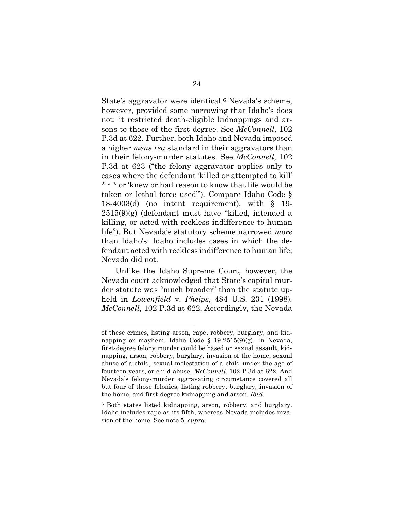State's aggravator were identical.6 Nevada's scheme, however, provided some narrowing that Idaho's does not: it restricted death-eligible kidnappings and arsons to those of the first degree. See *McConnell*, 102 P.3d at 622. Further, both Idaho and Nevada imposed a higher *mens rea* standard in their aggravators than in their felony-murder statutes. See *McConnell*, 102 P.3d at 623 ("the felony aggravator applies only to cases where the defendant 'killed or attempted to kill' \* \* \* or 'knew or had reason to know that life would be taken or lethal force used'"). Compare Idaho Code § 18-4003(d) (no intent requirement), with § 19-  $2515(9)(g)$  (defendant must have "killed, intended a killing, or acted with reckless indifference to human life"). But Nevada's statutory scheme narrowed *more* than Idaho's: Idaho includes cases in which the defendant acted with reckless indifference to human life; Nevada did not.

Unlike the Idaho Supreme Court, however, the Nevada court acknowledged that State's capital murder statute was "much broader" than the statute upheld in *Lowenfield* v. *Phelps*, 484 U.S. 231 (1998)*. McConnell*, 102 P.3d at 622. Accordingly, the Nevada

of these crimes, listing arson, rape, robbery, burglary, and kidnapping or mayhem. Idaho Code § 19-2515(9)(g). In Nevada, first-degree felony murder could be based on sexual assault, kidnapping, arson, robbery, burglary, invasion of the home, sexual abuse of a child, sexual molestation of a child under the age of fourteen years, or child abuse. *McConnell*, 102 P.3d at 622. And Nevada's felony-murder aggravating circumstance covered all but four of those felonies, listing robbery, burglary, invasion of the home, and first-degree kidnapping and arson. *Ibid.*

<sup>6</sup> Both states listed kidnapping, arson, robbery, and burglary. Idaho includes rape as its fifth, whereas Nevada includes invasion of the home. See note 5, *supra*.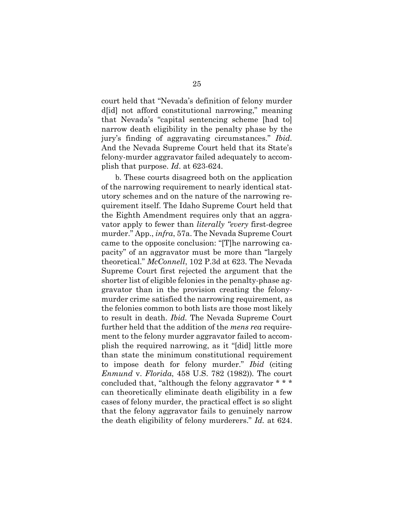court held that "Nevada's definition of felony murder d[id] not afford constitutional narrowing," meaning that Nevada's "capital sentencing scheme [had to] narrow death eligibility in the penalty phase by the jury's finding of aggravating circumstances." *Ibid.*  And the Nevada Supreme Court held that its State's felony-murder aggravator failed adequately to accomplish that purpose. *Id*. at 623-624.

b. These courts disagreed both on the application of the narrowing requirement to nearly identical statutory schemes and on the nature of the narrowing requirement itself. The Idaho Supreme Court held that the Eighth Amendment requires only that an aggravator apply to fewer than *literally "every* first-degree murder." App., *infra*, 57a. The Nevada Supreme Court came to the opposite conclusion: "[T]he narrowing capacity" of an aggravator must be more than "largely theoretical." *McConnell*, 102 P.3d at 623. The Nevada Supreme Court first rejected the argument that the shorter list of eligible felonies in the penalty-phase aggravator than in the provision creating the felonymurder crime satisfied the narrowing requirement, as the felonies common to both lists are those most likely to result in death. *Ibid.* The Nevada Supreme Court further held that the addition of the *mens rea* requirement to the felony murder aggravator failed to accomplish the required narrowing, as it "[did] little more than state the minimum constitutional requirement to impose death for felony murder." *Ibid* (citing *Enmund* v. *Florida*, 458 U.S. 782 (1982))*.* The court concluded that, "although the felony aggravator \* \* \* can theoretically eliminate death eligibility in a few cases of felony murder, the practical effect is so slight that the felony aggravator fails to genuinely narrow the death eligibility of felony murderers." *Id.* at 624.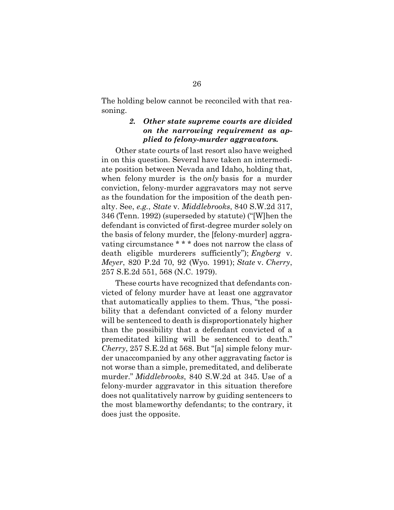The holding below cannot be reconciled with that reasoning.

## *2. Other state supreme courts are divided on the narrowing requirement as applied to felony-murder aggravators.*

Other state courts of last resort also have weighed in on this question. Several have taken an intermediate position between Nevada and Idaho, holding that, when felony murder is the *only* basis for a murder conviction, felony-murder aggravators may not serve as the foundation for the imposition of the death penalty. See, *e.g.*, *State* v. *Middlebrooks*, 840 S.W.2d 317, 346 (Tenn. 1992) (superseded by statute) ("[W]hen the defendant is convicted of first-degree murder solely on the basis of felony murder, the [felony-murder] aggravating circumstance \* \* \* does not narrow the class of death eligible murderers sufficiently"); *Engberg* v. *Meyer*, 820 P.2d 70, 92 (Wyo. 1991); *State* v. *Cherry*, 257 S.E.2d 551, 568 (N.C. 1979).

These courts have recognized that defendants convicted of felony murder have at least one aggravator that automatically applies to them. Thus, "the possibility that a defendant convicted of a felony murder will be sentenced to death is disproportionately higher than the possibility that a defendant convicted of a premeditated killing will be sentenced to death." *Cherry*, 257 S.E.2d at 568. But "[a] simple felony murder unaccompanied by any other aggravating factor is not worse than a simple, premeditated, and deliberate murder." *Middlebrooks*, 840 S.W.2d at 345. Use of a felony-murder aggravator in this situation therefore does not qualitatively narrow by guiding sentencers to the most blameworthy defendants; to the contrary, it does just the opposite.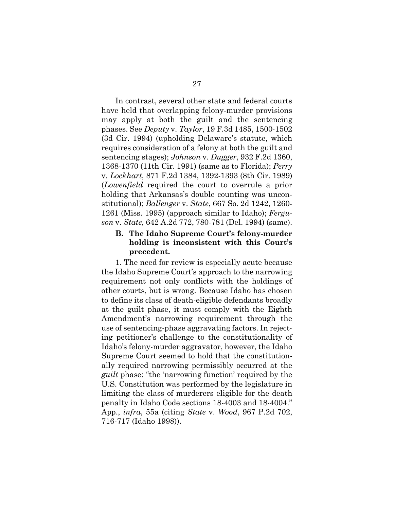In contrast, several other state and federal courts have held that overlapping felony-murder provisions may apply at both the guilt and the sentencing phases. See *Deputy* v. *Taylor*, 19 F.3d 1485, 1500-1502 (3d Cir. 1994) (upholding Delaware's statute, which requires consideration of a felony at both the guilt and sentencing stages); *Johnson* v. *Dugger*, 932 F.2d 1360, 1368-1370 (11th Cir. 1991) (same as to Florida); *Perry*  v. *Lockhart*, 871 F.2d 1384, 1392-1393 (8th Cir. 1989) (*Lowenfield* required the court to overrule a prior holding that Arkansas's double counting was unconstitutional); *Ballenger* v. *State*, 667 So. 2d 1242, 1260- 1261 (Miss. 1995) (approach similar to Idaho); *Ferguson* v. *State*, 642 A.2d 772, 780-781 (Del. 1994) (same).

## **B. The Idaho Supreme Court's felony-murder holding is inconsistent with this Court's precedent.**

1. The need for review is especially acute because the Idaho Supreme Court's approach to the narrowing requirement not only conflicts with the holdings of other courts, but is wrong. Because Idaho has chosen to define its class of death-eligible defendants broadly at the guilt phase, it must comply with the Eighth Amendment's narrowing requirement through the use of sentencing-phase aggravating factors. In rejecting petitioner's challenge to the constitutionality of Idaho's felony-murder aggravator, however, the Idaho Supreme Court seemed to hold that the constitutionally required narrowing permissibly occurred at the *guilt* phase: "the 'narrowing function' required by the U.S. Constitution was performed by the legislature in limiting the class of murderers eligible for the death penalty in Idaho Code sections 18-4003 and 18-4004." App., *infra*, 55a (citing *State* v. *Wood*, 967 P.2d 702, 716-717 (Idaho 1998)).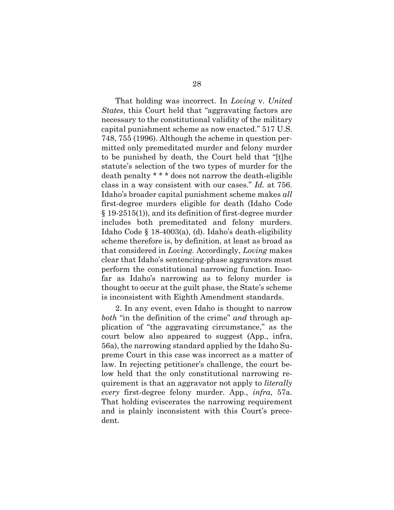That holding was incorrect. In *Loving* v. *United States*, this Court held that "aggravating factors are necessary to the constitutional validity of the military capital punishment scheme as now enacted." 517 U.S. 748, 755 (1996). Although the scheme in question permitted only premeditated murder and felony murder to be punished by death, the Court held that "[t]he statute's selection of the two types of murder for the death penalty \* \* \* does not narrow the death-eligible class in a way consistent with our cases." *Id.* at 756. Idaho's broader capital punishment scheme makes *all* first-degree murders eligible for death (Idaho Code § 19-2515(1)), and its definition of first-degree murder includes both premeditated and felony murders. Idaho Code § 18-4003(a), (d). Idaho's death-eligibility scheme therefore is, by definition, at least as broad as that considered in *Loving.* Accordingly, *Loving* makes clear that Idaho's sentencing-phase aggravators must perform the constitutional narrowing function. Insofar as Idaho's narrowing as to felony murder is thought to occur at the guilt phase, the State's scheme is inconsistent with Eighth Amendment standards.

2. In any event, even Idaho is thought to narrow *both* "in the definition of the crime" *and* through application of "the aggravating circumstance," as the court below also appeared to suggest (App., infra, 56a), the narrowing standard applied by the Idaho Supreme Court in this case was incorrect as a matter of law. In rejecting petitioner's challenge, the court below held that the only constitutional narrowing requirement is that an aggravator not apply to *literally every* first-degree felony murder. App., *infra*, 57a. That holding eviscerates the narrowing requirement and is plainly inconsistent with this Court's precedent.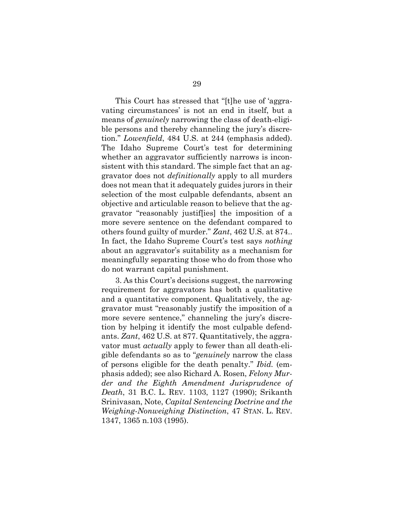This Court has stressed that "[t]he use of 'aggravating circumstances' is not an end in itself, but a means of *genuinely* narrowing the class of death-eligible persons and thereby channeling the jury's discretion." *Lowenfield*, 484 U.S. at 244 (emphasis added). The Idaho Supreme Court's test for determining whether an aggravator sufficiently narrows is inconsistent with this standard. The simple fact that an aggravator does not *definitionally* apply to all murders does not mean that it adequately guides jurors in their selection of the most culpable defendants, absent an objective and articulable reason to believe that the aggravator "reasonably justif[ies] the imposition of a more severe sentence on the defendant compared to others found guilty of murder." *Zant*, 462 U.S. at 874.. In fact, the Idaho Supreme Court's test says *nothing* about an aggravator's suitability as a mechanism for meaningfully separating those who do from those who do not warrant capital punishment.

3. As this Court's decisions suggest, the narrowing requirement for aggravators has both a qualitative and a quantitative component. Qualitatively, the aggravator must "reasonably justify the imposition of a more severe sentence," channeling the jury's discretion by helping it identify the most culpable defendants. *Zant*, 462 U.S. at 877. Quantitatively, the aggravator must *actually* apply to fewer than all death-eligible defendants so as to "*genuinely* narrow the class of persons eligible for the death penalty." *Ibid.* (emphasis added); see also Richard A. Rosen, *Felony Murder and the Eighth Amendment Jurisprudence of Death*, 31 B.C. L. REV. 1103, 1127 (1990); Srikanth Srinivasan, Note, *Capital Sentencing Doctrine and the Weighing-Nonweighing Distinction*, 47 STAN. L. REV. 1347, 1365 n.103 (1995).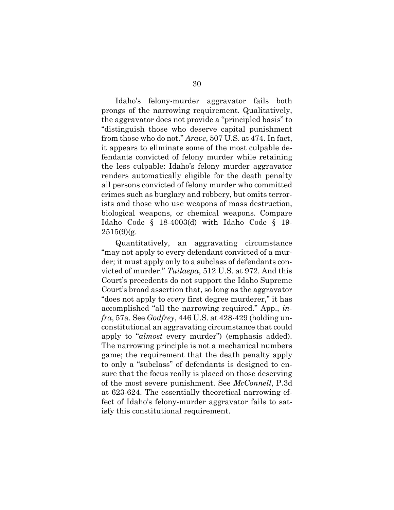Idaho's felony-murder aggravator fails both prongs of the narrowing requirement. Qualitatively, the aggravator does not provide a "principled basis" to "distinguish those who deserve capital punishment from those who do not." *Arave*, 507 U.S. at 474. In fact, it appears to eliminate some of the most culpable defendants convicted of felony murder while retaining the less culpable: Idaho's felony murder aggravator renders automatically eligible for the death penalty all persons convicted of felony murder who committed crimes such as burglary and robbery, but omits terrorists and those who use weapons of mass destruction, biological weapons, or chemical weapons. Compare Idaho Code § 18-4003(d) with Idaho Code § 19-  $2515(9)$ (g.

Quantitatively, an aggravating circumstance "may not apply to every defendant convicted of a murder; it must apply only to a subclass of defendants convicted of murder." *Tuilaepa*, 512 U.S. at 972. And this Court's precedents do not support the Idaho Supreme Court's broad assertion that, so long as the aggravator "does not apply to *every* first degree murderer," it has accomplished "all the narrowing required." App., *infra*, 57a. See *Godfrey*, 446 U.S. at 428-429 (holding unconstitutional an aggravating circumstance that could apply to "*almost* every murder") (emphasis added). The narrowing principle is not a mechanical numbers game; the requirement that the death penalty apply to only a "subclass" of defendants is designed to ensure that the focus really is placed on those deserving of the most severe punishment. See *McConnell*, P.3d at 623-624. The essentially theoretical narrowing effect of Idaho's felony-murder aggravator fails to satisfy this constitutional requirement.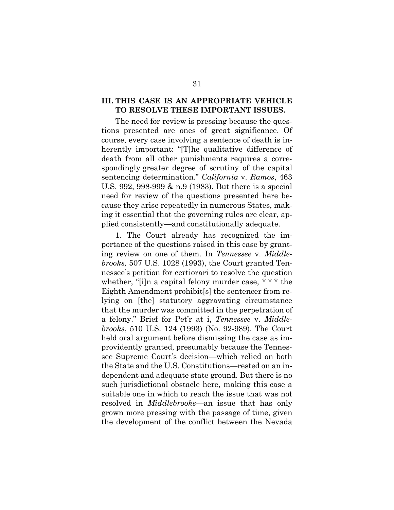### **III. THIS CASE IS AN APPROPRIATE VEHICLE TO RESOLVE THESE IMPORTANT ISSUES.**

The need for review is pressing because the questions presented are ones of great significance. Of course, every case involving a sentence of death is inherently important: "[T]he qualitative difference of death from all other punishments requires a correspondingly greater degree of scrutiny of the capital sentencing determination." *California* v. *Ramos*, 463 U.S. 992, 998-999 & n.9 (1983). But there is a special need for review of the questions presented here because they arise repeatedly in numerous States, making it essential that the governing rules are clear, applied consistently—and constitutionally adequate.

1. The Court already has recognized the importance of the questions raised in this case by granting review on one of them. In *Tennessee* v. *Middlebrooks,* 507 U.S. 1028 (1993), the Court granted Tennessee's petition for certiorari to resolve the question whether, "[i]n a capital felony murder case, \* \* \* the Eighth Amendment prohibit[s] the sentencer from relying on [the] statutory aggravating circumstance that the murder was committed in the perpetration of a felony." Brief for Pet'r at i, *Tennessee* v. *Middlebrooks*, 510 U.S. 124 (1993) (No. 92-989). The Court held oral argument before dismissing the case as improvidently granted, presumably because the Tennessee Supreme Court's decision—which relied on both the State and the U.S. Constitutions—rested on an independent and adequate state ground. But there is no such jurisdictional obstacle here, making this case a suitable one in which to reach the issue that was not resolved in *Middlebrooks*—an issue that has only grown more pressing with the passage of time, given the development of the conflict between the Nevada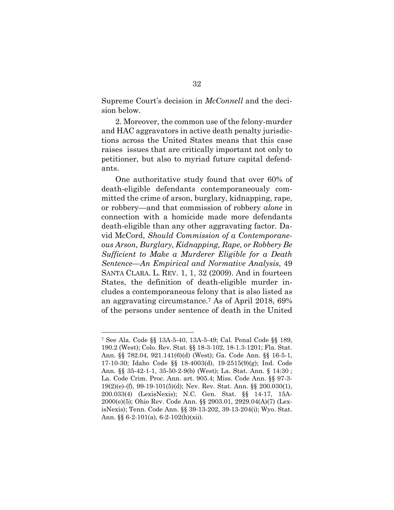Supreme Court's decision in *McConnell* and the decision below.

2. Moreover, the common use of the felony-murder and HAC aggravators in active death penalty jurisdictions across the United States means that this case raises issues that are critically important not only to petitioner, but also to myriad future capital defendants.

One authoritative study found that over 60% of death-eligible defendants contemporaneously committed the crime of arson, burglary, kidnapping, rape, or robbery—and that commission of robbery *alone* in connection with a homicide made more defendants death-eligible than any other aggravating factor. David McCord, *Should Commission of a Contemporaneous Arson, Burglary, Kidnapping, Rape, or Robbery Be Sufficient to Make a Murderer Eligible for a Death Sentence—An Empirical and Normative Analysis*, 49 SANTA CLARA. L. REV. 1, 1, 32 (2009). And in fourteen States, the definition of death-eligible murder includes a contemporaneous felony that is also listed as an aggravating circumstance.7 As of April 2018, 69% of the persons under sentence of death in the United

<sup>7</sup> See Ala. Code §§ 13A-5-40, 13A-5-49; Cal. Penal Code §§ 189, 190.2 (West); Colo. Rev. Stat. §§ 18-3-102, 18-1.3-1201; Fla. Stat. Ann. §§ 782.04, 921.141(6)(d) (West); Ga. Code Ann. §§ 16-5-1, 17-10-30; Idaho Code §§ 18-4003(d), 19-2515(9)(g); Ind. Code Ann. §§ 35-42-1-1, 35-50-2-9(b) (West); La. Stat. Ann. § 14:30 ; La. Code Crim. Proc. Ann. art. 905.4; Miss. Code Ann. §§ 97-3- 19(2)(e)-(f), 99-19-101(5)(d); Nev. Rev. Stat. Ann. §§ 200.030(1), 200.033(4) (LexisNexis); N.C. Gen. Stat. §§ 14-17, 15A-2000(e)(5); Ohio Rev. Code Ann. §§ 2903.01, 2929.04(A)(7) (LexisNexis); Tenn. Code Ann. §§ 39-13-202, 39-13-204(i); Wyo. Stat. Ann. §§ 6-2-101(a), 6-2-102(h)(xii).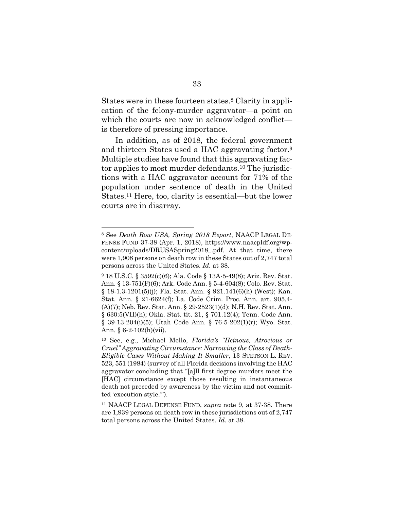States were in these fourteen states.8 Clarity in application of the felony-murder aggravator—a point on which the courts are now in acknowledged conflict is therefore of pressing importance.

In addition, as of 2018, the federal government and thirteen States used a HAC aggravating factor.<sup>9</sup> Multiple studies have found that this aggravating factor applies to most murder defendants.10 The jurisdictions with a HAC aggravator account for 71% of the population under sentence of death in the United States.11 Here, too, clarity is essential—but the lower courts are in disarray.

<sup>8</sup> See *Death Row USA, Spring 2018 Report*, NAACP LEGAL DE-FENSE FUND 37-38 (Apr. 1, 2018), https://www.naacpldf.org/wpcontent/uploads/DRUSASpring2018\_.pdf. At that time, there were 1,908 persons on death row in these States out of 2,747 total persons across the United States. *Id.* at 38.

<sup>9</sup> 18 U.S.C. § 3592(c)(6); Ala. Code § 13A-5-49(8); Ariz. Rev. Stat. Ann. § 13-751(F)(6); Ark. Code Ann. § 5-4-604(8); Colo. Rev. Stat. § 18-1.3-1201(5)(j); Fla. Stat. Ann. § 921.141(6)(h) (West); Kan. Stat. Ann. § 21-6624(f); La. Code Crim. Proc. Ann. art. 905.4- (A)(7); Neb. Rev. Stat. Ann. § 29-2523(1)(d); N.H. Rev. Stat. Ann. § 630:5(VII)(h); Okla. Stat. tit. 21, § 701.12(4); Tenn. Code Ann. § 39-13-204(i)(5); Utah Code Ann. § 76-5-202(1)(r); Wyo. Stat. Ann. § 6-2-102(h)(vii).

<sup>10</sup> See, e.g., Michael Mello, *Florida's "Heinous, Atrocious or Cruel" Aggravating Circumstance: Narrowing the Class of Death-Eligible Cases Without Making It Smaller*, 13 STETSON L. REV. 523, 551 (1984) (survey of all Florida decisions involving the HAC aggravator concluding that "[a]ll first degree murders meet the [HAC] circumstance except those resulting in instantaneous death not preceded by awareness by the victim and not committed 'execution style.'").

<sup>11</sup> NAACP LEGAL DEFENSE FUND, *supra* note 9, at 37-38. There are 1,939 persons on death row in these jurisdictions out of 2,747 total persons across the United States. *Id.* at 38.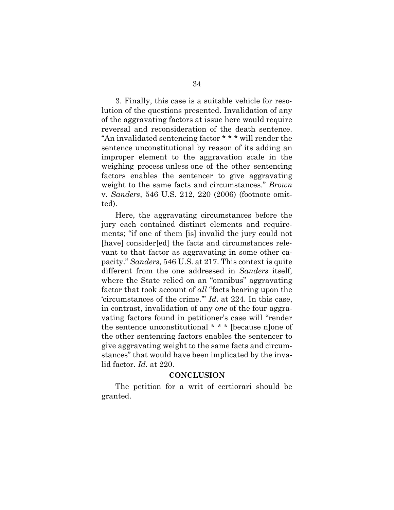3. Finally, this case is a suitable vehicle for resolution of the questions presented. Invalidation of any of the aggravating factors at issue here would require reversal and reconsideration of the death sentence. "An invalidated sentencing factor \* \* \* will render the sentence unconstitutional by reason of its adding an improper element to the aggravation scale in the weighing process unless one of the other sentencing factors enables the sentencer to give aggravating weight to the same facts and circumstances." *Brown*  v. *Sanders*, 546 U.S. 212, 220 (2006) (footnote omitted).

Here, the aggravating circumstances before the jury each contained distinct elements and requirements; "if one of them [is] invalid the jury could not [have] consider[ed] the facts and circumstances relevant to that factor as aggravating in some other capacity." *Sanders*, 546 U.S. at 217. This context is quite different from the one addressed in *Sanders* itself, where the State relied on an "omnibus" aggravating factor that took account of *all* "facts bearing upon the 'circumstances of the crime.'" *Id*. at 224. In this case, in contrast, invalidation of any *one* of the four aggravating factors found in petitioner's case will "render the sentence unconstitutional \* \* \* [because n]one of the other sentencing factors enables the sentencer to give aggravating weight to the same facts and circumstances" that would have been implicated by the invalid factor. *Id.* at 220.

#### **CONCLUSION**

The petition for a writ of certiorari should be granted.